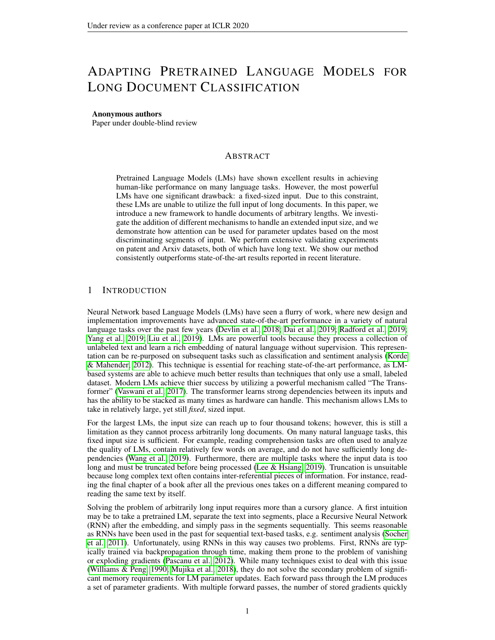# ADAPTING PRETRAINED LANGUAGE MODELS FOR LONG DOCUMENT CLASSIFICATION

#### Anonymous authors

Paper under double-blind review

## ABSTRACT

Pretrained Language Models (LMs) have shown excellent results in achieving human-like performance on many language tasks. However, the most powerful LMs have one significant drawback: a fixed-sized input. Due to this constraint, these LMs are unable to utilize the full input of long documents. In this paper, we introduce a new framework to handle documents of arbitrary lengths. We investigate the addition of different mechanisms to handle an extended input size, and we demonstrate how attention can be used for parameter updates based on the most discriminating segments of input. We perform extensive validating experiments on patent and Arxiv datasets, both of which have long text. We show our method consistently outperforms state-of-the-art results reported in recent literature.

## 1 INTRODUCTION

Neural Network based Language Models (LMs) have seen a flurry of work, where new design and implementation improvements have advanced state-of-the-art performance in a variety of natural language tasks over the past few years [\(Devlin et al., 2018;](#page-9-0) [Dai et al., 2019;](#page-9-1) [Radford et al., 2019;](#page-10-0) [Yang et al., 2019;](#page-10-1) [Liu et al., 2019\)](#page-9-2). LMs are powerful tools because they process a collection of unlabeled text and learn a rich embedding of natural language without supervision. This representation can be re-purposed on subsequent tasks such as classification and sentiment analysis [\(Korde](#page-9-3) [& Mahender, 2012\)](#page-9-3). This technique is essential for reaching state-of-the-art performance, as LMbased systems are able to achieve much better results than techniques that only use a small, labeled dataset. Modern LMs achieve thier success by utilizing a powerful mechanism called "The Transformer" [\(Vaswani et al., 2017\)](#page-10-2). The transformer learns strong dependencies between its inputs and has the ability to be stacked as many times as hardware can handle. This mechanism allows LMs to take in relatively large, yet still *fixed*, sized input.

For the largest LMs, the input size can reach up to four thousand tokens; however, this is still a limitation as they cannot process arbitrarily long documents. On many natural language tasks, this fixed input size is sufficient. For example, reading comprehension tasks are often used to analyze the quality of LMs, contain relatively few words on average, and do not have sufficiently long dependencies [\(Wang et al., 2019\)](#page-10-3). Furthermore, there are multiple tasks where the input data is too long and must be truncated before being processed [\(Lee & Hsiang, 2019\)](#page-9-4). Truncation is unsuitable because long complex text often contains inter-referential pieces of information. For instance, reading the final chapter of a book after all the previous ones takes on a different meaning compared to reading the same text by itself.

Solving the problem of arbitrarily long input requires more than a cursory glance. A first intuition may be to take a pretrained LM, separate the text into segments, place a Recursive Neural Network (RNN) after the embedding, and simply pass in the segments sequentially. This seems reasonable as RNNs have been used in the past for sequential text-based tasks, e.g. sentiment analysis [\(Socher](#page-10-4) [et al., 2011\)](#page-10-4). Unfortunately, using RNNs in this way causes two problems. First, RNNs are typically trained via backpropagation through time, making them prone to the problem of vanishing or exploding gradients [\(Pascanu et al., 2012\)](#page-9-5). While many techniques exist to deal with this issue [\(Williams & Peng, 1990;](#page-10-5) [Mujika et al., 2018\)](#page-9-6), they do not solve the secondary problem of significant memory requirements for LM parameter updates. Each forward pass through the LM produces a set of parameter gradients. With multiple forward passes, the number of stored gradients quickly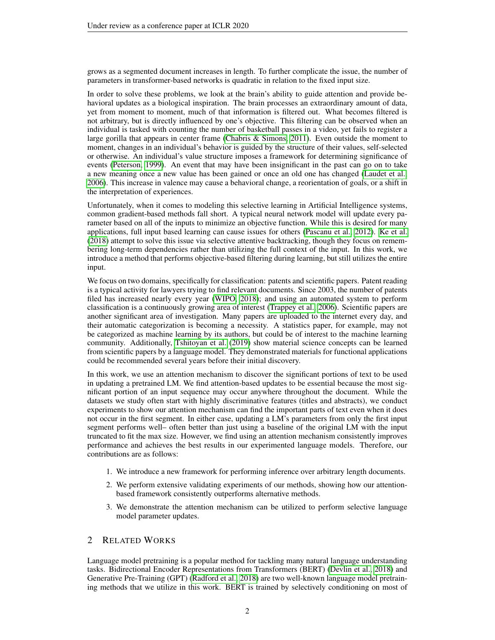grows as a segmented document increases in length. To further complicate the issue, the number of parameters in transformer-based networks is quadratic in relation to the fixed input size.

In order to solve these problems, we look at the brain's ability to guide attention and provide behavioral updates as a biological inspiration. The brain processes an extraordinary amount of data, yet from moment to moment, much of that information is filtered out. What becomes filtered is not arbitrary, but is directly influenced by one's objective. This filtering can be observed when an individual is tasked with counting the number of basketball passes in a video, yet fails to register a large gorilla that appears in center frame [\(Chabris & Simons, 2011\)](#page-9-7). Even outside the moment to moment, changes in an individual's behavior is guided by the structure of their values, self-selected or otherwise. An individual's value structure imposes a framework for determining significance of events [\(Peterson, 1999\)](#page-10-6). An event that may have been insignificant in the past can go on to take a new meaning once a new value has been gained or once an old one has changed [\(Laudet et al.,](#page-9-8) [2006\)](#page-9-8). This increase in valence may cause a behavioral change, a reorientation of goals, or a shift in the interpretation of experiences.

Unfortunately, when it comes to modeling this selective learning in Artificial Intelligence systems, common gradient-based methods fall short. A typical neural network model will update every parameter based on all of the inputs to minimize an objective function. While this is desired for many applications, full input based learning can cause issues for others [\(Pascanu et al., 2012\)](#page-9-5). [Ke et al.](#page-9-9) [\(2018\)](#page-9-9) attempt to solve this issue via selective attentive backtracking, though they focus on remembering long-term dependencies rather than utilizing the full context of the input. In this work, we introduce a method that performs objective-based filtering during learning, but still utilizes the entire input.

We focus on two domains, specifically for classification: patents and scientific papers. Patent reading is a typical activity for lawyers trying to find relevant documents. Since 2003, the number of patents filed has increased nearly every year [\(WIPO, 2018\)](#page-10-7); and using an automated system to perform classification is a continuously growing area of interest [\(Trappey et al., 2006\)](#page-10-8). Scientific papers are another significant area of investigation. Many papers are uploaded to the internet every day, and their automatic categorization is becoming a necessity. A statistics paper, for example, may not be categorized as machine learning by its authors, but could be of interest to the machine learning community. Additionally, [Tshitoyan et al.](#page-10-9) [\(2019\)](#page-10-9) show material science concepts can be learned from scientific papers by a language model. They demonstrated materials for functional applications could be recommended several years before their initial discovery.

In this work, we use an attention mechanism to discover the significant portions of text to be used in updating a pretrained LM. We find attention-based updates to be essential because the most significant portion of an input sequence may occur anywhere throughout the document. While the datasets we study often start with highly discriminative features (titles and abstracts), we conduct experiments to show our attention mechanism can find the important parts of text even when it does not occur in the first segment. In either case, updating a LM's parameters from only the first input segment performs well– often better than just using a baseline of the original LM with the input truncated to fit the max size. However, we find using an attention mechanism consistently improves performance and achieves the best results in our experimented language models. Therefore, our contributions are as follows:

- 1. We introduce a new framework for performing inference over arbitrary length documents.
- 2. We perform extensive validating experiments of our methods, showing how our attentionbased framework consistently outperforms alternative methods.
- 3. We demonstrate the attention mechanism can be utilized to perform selective language model parameter updates.

## 2 RELATED WORKS

Language model pretraining is a popular method for tackling many natural language understanding tasks. Bidirectional Encoder Representations from Transformers (BERT) [\(Devlin et al., 2018\)](#page-9-0) and Generative Pre-Training (GPT) [\(Radford et al., 2018\)](#page-10-10) are two well-known language model pretraining methods that we utilize in this work. BERT is trained by selectively conditioning on most of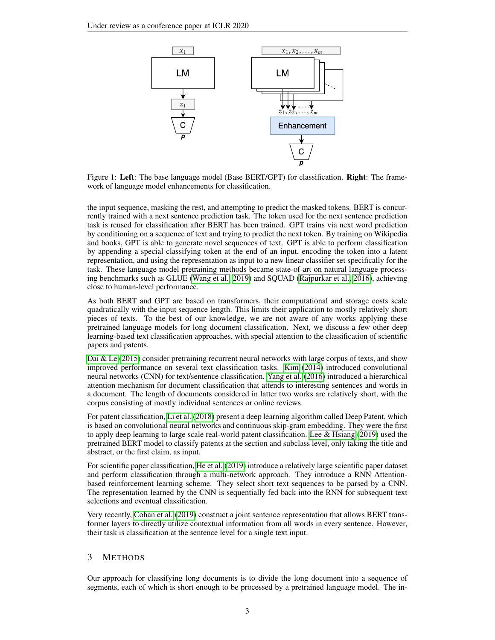<span id="page-2-0"></span>

Figure 1: Left: The base language model (Base BERT/GPT) for classification. Right: The framework of language model enhancements for classification.

the input sequence, masking the rest, and attempting to predict the masked tokens. BERT is concurrently trained with a next sentence prediction task. The token used for the next sentence prediction task is reused for classification after BERT has been trained. GPT trains via next word prediction by conditioning on a sequence of text and trying to predict the next token. By training on Wikipedia and books, GPT is able to generate novel sequences of text. GPT is able to perform classification by appending a special classifying token at the end of an input, encoding the token into a latent representation, and using the representation as input to a new linear classifier set specifically for the task. These language model pretraining methods became state-of-art on natural language processing benchmarks such as GLUE [\(Wang et al., 2019\)](#page-10-3) and SQUAD [\(Rajpurkar et al., 2016\)](#page-10-11), achieving close to human-level performance.

As both BERT and GPT are based on transformers, their computational and storage costs scale quadratically with the input sequence length. This limits their application to mostly relatively short pieces of texts. To the best of our knowledge, we are not aware of any works applying these pretrained language models for long document classification. Next, we discuss a few other deep learning-based text classification approaches, with special attention to the classification of scientific papers and patents.

[Dai & Le](#page-9-10) [\(2015\)](#page-9-10) consider pretraining recurrent neural networks with large corpus of texts, and show improved performance on several text classification tasks. [Kim](#page-9-11) [\(2014\)](#page-9-11) introduced convolutional neural networks (CNN) for text/sentence classification. [Yang et al.](#page-10-12) [\(2016\)](#page-10-12) introduced a hierarchical attention mechanism for document classification that attends to interesting sentences and words in a document. The length of documents considered in latter two works are relatively short, with the corpus consisting of mostly individual sentences or online reviews.

For patent classification, [Li et al.](#page-9-12) [\(2018\)](#page-9-12) present a deep learning algorithm called Deep Patent, which is based on convolutional neural networks and continuous skip-gram embedding. They were the first to apply deep learning to large scale real-world patent classification. [Lee & Hsiang](#page-9-4) [\(2019\)](#page-9-4) used the pretrained BERT model to classify patents at the section and subclass level, only taking the title and abstract, or the first claim, as input.

For scientific paper classification, [He et al.](#page-9-13) [\(2019\)](#page-9-13) introduce a relatively large scientific paper dataset and perform classification through a multi-network approach. They introduce a RNN Attentionbased reinforcement learning scheme. They select short text sequences to be parsed by a CNN. The representation learned by the CNN is sequentially fed back into the RNN for subsequent text selections and eventual classification.

Very recently, [Cohan et al.](#page-9-14) [\(2019\)](#page-9-14) construct a joint sentence representation that allows BERT transformer layers to directly utilize contextual information from all words in every sentence. However, their task is classification at the sentence level for a single text input.

# 3 METHODS

Our approach for classifying long documents is to divide the long document into a sequence of segments, each of which is short enough to be processed by a pretrained language model. The in-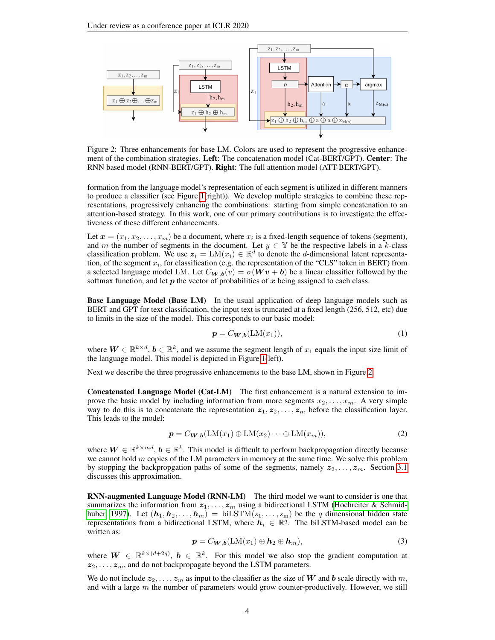<span id="page-3-0"></span>

Figure 2: Three enhancements for base LM. Colors are used to represent the progressive enhancement of the combination strategies. Left: The concatenation model (Cat-BERT/GPT). Center: The RNN based model (RNN-BERT/GPT). Right: The full attention model (ATT-BERT/GPT).

formation from the language model's representation of each segment is utilized in different manners to produce a classifier (see Figure [1\(](#page-2-0)right)). We develop multiple strategies to combine these representations, progressively enhancing the combinations: starting from simple concatenation to an attention-based strategy. In this work, one of our primary contributions is to investigate the effectiveness of these different enhancements.

Let  $\boldsymbol{x} = (x_1, x_2, \dots, x_m)$  be a document, where  $x_i$  is a fixed-length sequence of tokens (segment), and m the number of segments in the document. Let  $y \in Y$  be the respective labels in a k-class classification problem. We use  $z_i = LM(x_i) \in \mathbb{R}^d$  to denote the *d*-dimensional latent representation, of the segment  $x_i$ , for classification (e.g. the representation of the "CLS" token in BERT) from a selected language model LM. Let  $C_{\boldsymbol{W},\boldsymbol{b}}(v) = \sigma(\boldsymbol{W}\boldsymbol{v} + \boldsymbol{b})$  be a linear classifier followed by the softmax function, and let  $p$  the vector of probabilities of  $x$  being assigned to each class.

Base Language Model (Base LM) In the usual application of deep language models such as BERT and GPT for text classification, the input text is truncated at a fixed length (256, 512, etc) due to limits in the size of the model. This corresponds to our basic model:

$$
\mathbf{p} = C_{\mathbf{W},\mathbf{b}}(\mathbf{LM}(x_1)),\tag{1}
$$

where  $W \in \mathbb{R}^{k \times d}$ ,  $b \in \mathbb{R}^k$ , and we assume the segment length of  $x_1$  equals the input size limit of the language model. This model is depicted in Figure [1\(](#page-2-0)left).

Next we describe the three progressive enhancements to the base LM, shown in Figure [2.](#page-3-0)

Concatenated Language Model (Cat-LM) The first enhancement is a natural extension to improve the basic model by including information from more segments  $x_2, \ldots, x_m$ . A very simple way to do this is to concatenate the representation  $z_1, z_2, \ldots, z_m$  before the classification layer. This leads to the model:

$$
\mathbf{p} = C_{\mathbf{W},\mathbf{b}}(\mathbf{LM}(x_1) \oplus \mathbf{LM}(x_2) \cdots \oplus \mathbf{LM}(x_m)),\tag{2}
$$

where  $\mathbf{W} \in \mathbb{R}^{k \times md}$ ,  $\mathbf{b} \in \mathbb{R}^k$ . This model is difficult to perform backpropagation directly because we cannot hold  $m$  copies of the LM parameters in memory at the same time. We solve this problem by stopping the backpropgation paths of some of the segments, namely  $z_2, \ldots, z_m$ . Section [3.1](#page-4-0) discusses this approximation.

RNN-augmented Language Model (RNN-LM) The third model we want to consider is one that summarizes the information from  $z_1, \ldots, z_m$  using a bidirectional LSTM [\(Hochreiter & Schmid](#page-9-15)[huber, 1997\)](#page-9-15). Let  $(h_1, h_2, \ldots, h_m) = \text{biLSTM}(z_1, \ldots, z_m)$  be the q dimensional hidden state representations from a bidirectional LSTM, where  $h_i \in \mathbb{R}^q$ . The biLSTM-based model can be written as:

$$
\mathbf{p} = C_{\mathbf{W},\mathbf{b}}(\text{LM}(x_1) \oplus \mathbf{h}_2 \oplus \mathbf{h}_m),\tag{3}
$$

where  $W \in \mathbb{R}^{k \times (d+2q)}$ ,  $b \in \mathbb{R}^k$ . For this model we also stop the gradient computation at  $z_2, \ldots, z_m$ , and do not backpropagate beyond the LSTM parameters.

We do not include  $z_2, \ldots, z_m$  as input to the classifier as the size of W and b scale directly with m, and with a large  $m$  the number of parameters would grow counter-productively. However, we still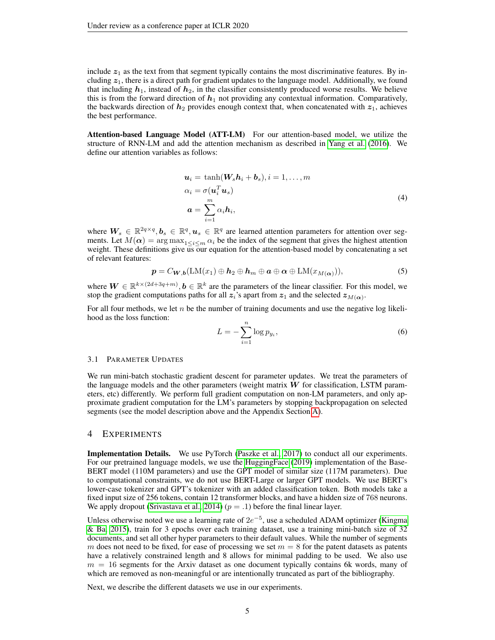include  $z_1$  as the text from that segment typically contains the most discriminative features. By including  $z_1$ , there is a direct path for gradient updates to the language model. Additionally, we found that including  $h_1$ , instead of  $h_2$ , in the classifier consistently produced worse results. We believe this is from the forward direction of  $h_1$  not providing any contextual information. Comparatively, the backwards direction of  $h_2$  provides enough context that, when concatenated with  $z_1$ , achieves the best performance.

Attention-based Language Model (ATT-LM) For our attention-based model, we utilize the structure of RNN-LM and add the attention mechanism as described in [Yang et al.](#page-10-12) [\(2016\)](#page-10-12). We define our attention variables as follows:

$$
\mathbf{u}_i = \tanh(\mathbf{W}_s \mathbf{h}_i + \mathbf{b}_s), i = 1, ..., m
$$
  
\n
$$
\alpha_i = \sigma(\mathbf{u}_i^T \mathbf{u}_s)
$$
  
\n
$$
\mathbf{a} = \sum_{i=1}^m \alpha_i \mathbf{h}_i,
$$
\n(4)

where  $W_s \in \mathbb{R}^{2q \times q}, b_s \in \mathbb{R}^q, u_s \in \mathbb{R}^q$  are learned attention parameters for attention over segments. Let  $M(\alpha) = \arg \max_{1 \leq i \leq m} \alpha_i$  be the index of the segment that gives the highest attention weight. These definitions give us our equation for the attention-based model by concatenating a set of relevant features:

<span id="page-4-1"></span>
$$
\mathbf{p} = C_{\mathbf{W},\mathbf{b}}(\text{LM}(x_1) \oplus \mathbf{h}_2 \oplus \mathbf{h}_m \oplus \mathbf{a} \oplus \mathbf{\alpha} \oplus \text{LM}(x_{M(\mathbf{\alpha})})),
$$
\n(5)

where  $W \in \mathbb{R}^{k \times (2d+3q+m)}$ ,  $b \in \mathbb{R}^k$  are the parameters of the linear classifier. For this model, we stop the gradient computations paths for all  $z_i$ 's apart from  $z_1$  and the selected  $z_{M(\alpha)}$ .

For all four methods, we let n be the number of training documents and use the negative log likelihood as the loss function:

$$
L = -\sum_{i=1}^{n} \log p_{y_i},\tag{6}
$$

#### <span id="page-4-0"></span>3.1 PARAMETER UPDATES

We run mini-batch stochastic gradient descent for parameter updates. We treat the parameters of the language models and the other parameters (weight matrix  $W$  for classification, LSTM parameters, etc) differently. We perform full gradient computation on non-LM parameters, and only approximate gradient computation for the LM's parameters by stopping backpropagation on selected segments (see the model description above and the Appendix Section [A\)](#page-11-0).

### 4 EXPERIMENTS

Implementation Details. We use PyTorch [\(Paszke et al., 2017\)](#page-10-13) to conduct all our experiments. For our pretrained language models, we use the [HuggingFace](#page-9-16) [\(2019\)](#page-9-16) implementation of the Base-BERT model (110M parameters) and use the GPT model of similar size (117M parameters). Due to computational constraints, we do not use BERT-Large or larger GPT models. We use BERT's lower-case tokenizer and GPT's tokenizer with an added classification token. Both models take a fixed input size of 256 tokens, contain 12 transformer blocks, and have a hidden size of 768 neurons. We apply dropout [\(Srivastava et al., 2014\)](#page-10-14) ( $p = .1$ ) before the final linear layer.

Unless otherwise noted we use a learning rate of  $2e^{-5}$ , use a scheduled ADAM optimizer [\(Kingma](#page-9-17) [& Ba, 2015\)](#page-9-17), train for 3 epochs over each training dataset, use a training mini-batch size of 32 documents, and set all other hyper parameters to their default values. While the number of segments m does not need to be fixed, for ease of processing we set  $m = 8$  for the patent datasets as patents have a relatively constrained length and 8 allows for minimal padding to be used. We also use  $m = 16$  segments for the Arxiv dataset as one document typically contains 6k words, many of which are removed as non-meaningful or are intentionally truncated as part of the bibliography.

Next, we describe the different datasets we use in our experiments.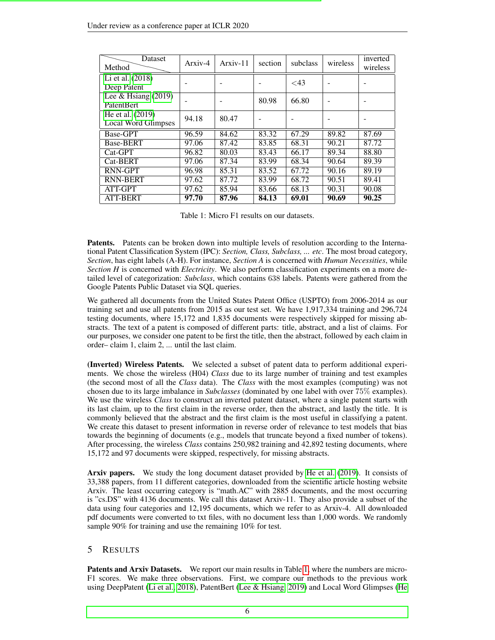<span id="page-5-0"></span>

| <b>Dataset</b><br>Method                | Arxiv-4 | Arxiv-11 | section | subclass  | wireless | inverted<br>wireless |
|-----------------------------------------|---------|----------|---------|-----------|----------|----------------------|
| Li et al. (2018)<br>Deep Patent         |         |          |         | $\leq$ 43 |          |                      |
| Lee & Hsiang $(2019)$<br>PatentBert     |         |          | 80.98   | 66.80     |          |                      |
| He et al. (2019)<br>Local Word Glimpses | 94.18   | 80.47    |         |           |          |                      |
| Base-GPT                                | 96.59   | 84.62    | 83.32   | 67.29     | 89.82    | 87.69                |
| <b>Base-BERT</b>                        | 97.06   | 87.42    | 83.85   | 68.31     | 90.21    | 87.72                |
| $Cat-GPT$                               | 96.82   | 80.03    | 83.43   | 66.17     | 89.34    | 88.80                |
| Cat-BERT                                | 97.06   | 87.34    | 83.99   | 68.34     | 90.64    | 89.39                |
| RNN-GPT                                 | 96.98   | 85.31    | 83.52   | 67.72     | 90.16    | 89.19                |
| <b>RNN-BERT</b>                         | 97.62   | 87.72    | 83.99   | 68.72     | 90.51    | 89.41                |
| ATT-GPT                                 | 97.62   | 85.94    | 83.66   | 68.13     | 90.31    | 90.08                |
| <b>ATT-BERT</b>                         | 97.70   | 87.96    | 84.13   | 69.01     | 90.69    | 90.25                |

Table 1: Micro F1 results on our datasets.

Patents. Patents can be broken down into multiple levels of resolution according to the International Patent Classification System (IPC): *Section, Class, Subclass, ... etc*. The most broad category, *Section*, has eight labels (A-H). For instance, *Section A* is concerned with *Human Necessities*, while *Section H* is concerned with *Electricity*. We also perform classification experiments on a more detailed level of categorization: *Subclass*, which contains 638 labels. Patents were gathered from the Google Patents Public Dataset via SQL queries.

We gathered all documents from the United States Patent Office (USPTO) from 2006-2014 as our training set and use all patents from 2015 as our test set. We have 1,917,334 training and 296,724 testing documents, where 15,172 and 1,835 documents were respectively skipped for missing abstracts. The text of a patent is composed of different parts: title, abstract, and a list of claims. For our purposes, we consider one patent to be first the title, then the abstract, followed by each claim in order– claim 1, claim 2, ... until the last claim.

(Inverted) Wireless Patents. We selected a subset of patent data to perform additional experiments. We chose the wireless (H04) *Class* due to its large number of training and test examples (the second most of all the *Class* data). The *Class* with the most examples (computing) was not chosen due to its large imbalance in *Subclasses* (dominated by one label with over 75% examples). We use the wireless *Class* to construct an inverted patent dataset, where a single patent starts with its last claim, up to the first claim in the reverse order, then the abstract, and lastly the title. It is commonly believed that the abstract and the first claim is the most useful in classifying a patent. We create this dataset to present information in reverse order of relevance to test models that bias towards the beginning of documents (e.g., models that truncate beyond a fixed number of tokens). After processing, the wireless *Class* contains 250,982 training and 42,892 testing documents, where 15,172 and 97 documents were skipped, respectively, for missing abstracts.

Arxiv papers. We study the long document dataset provided by [He et al.](#page-9-13) [\(2019\)](#page-9-13). It consists of 33,388 papers, from 11 different categories, downloaded from the scientific article hosting website Arxiv. The least occurring category is "math.AC" with 2885 documents, and the most occurring is "cs.DS" with 4136 documents. We call this dataset Arxiv-11. They also provide a subset of the data using four categories and 12,195 documents, which we refer to as Arxiv-4. All downloaded pdf documents were converted to txt files, with no document less than 1,000 words. We randomly sample 90% for training and use the remaining 10% for test.

## 5 RESULTS

Patents and Arxiv Datasets. We report our main results in Table [1,](#page-5-0) where the numbers are micro-F1 scores. We make three observations. First, we compare our methods to the previous work using DeepPatent [\(Li et al., 2018\)](#page-9-12), PatentBert [\(Lee & Hsiang, 2019\)](#page-9-4) and Local Word Glimpses [\(He](#page-9-13)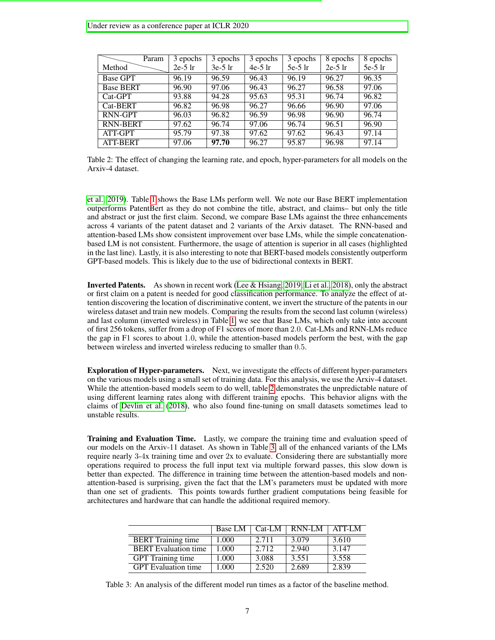<span id="page-6-0"></span>

| Param            | 3 epochs  | 3 epochs  | 3 epochs  | 3 epochs  | 8 epochs  | 8 epochs  |
|------------------|-----------|-----------|-----------|-----------|-----------|-----------|
| Method           | $2e-5$ lr | $3e-5$ lr | $4e-5$ lr | $5e-5$ lr | $2e-5$ lr | $5e-5$ lr |
| <b>Base GPT</b>  | 96.19     | 96.59     | 96.43     | 96.19     | 96.27     | 96.35     |
| <b>Base BERT</b> | 96.90     | 97.06     | 96.43     | 96.27     | 96.58     | 97.06     |
| $Cat-GPT$        | 93.88     | 94.28     | 95.63     | 95.31     | 96.74     | 96.82     |
| Cat-BERT         | 96.82     | 96.98     | 96.27     | 96.66     | 96.90     | 97.06     |
| RNN-GPT          | 96.03     | 96.82     | 96.59     | 96.98     | 96.90     | 96.74     |
| RNN-BERT         | 97.62     | 96.74     | 97.06     | 96.74     | 96.51     | 96.90     |
| ATT-GPT          | 95.79     | 97.38     | 97.62     | 97.62     | 96.43     | 97.14     |
| <b>ATT-BERT</b>  | 97.06     | 97.70     | 96.27     | 95.87     | 96.98     | 97.14     |

Table 2: The effect of changing the learning rate, and epoch, hyper-parameters for all models on the Arxiv-4 dataset.

[et al., 2019\)](#page-9-13). Table [1](#page-5-0) shows the Base LMs perform well. We note our Base BERT implementation outperforms PatentBert as they do not combine the title, abstract, and claims– but only the title and abstract or just the first claim. Second, we compare Base LMs against the three enhancements across 4 variants of the patent dataset and 2 variants of the Arxiv dataset. The RNN-based and attention-based LMs show consistent improvement over base LMs, while the simple concatenationbased LM is not consistent. Furthermore, the usage of attention is superior in all cases (highlighted in the last line). Lastly, it is also interesting to note that BERT-based models consistently outperform GPT-based models. This is likely due to the use of bidirectional contexts in BERT.

Inverted Patents. As shown in recent work [\(Lee & Hsiang, 2019;](#page-9-4) [Li et al., 2018\)](#page-9-12), only the abstract or first claim on a patent is needed for good classification performance. To analyze the effect of attention discovering the location of discriminative content, we invert the structure of the patents in our wireless dataset and train new models. Comparing the results from the second last column (wireless) and last column (inverted wireless) in Table [1,](#page-5-0) we see that Base LMs, which only take into account of first 256 tokens, suffer from a drop of F1 scores of more than 2.0. Cat-LMs and RNN-LMs reduce the gap in F1 scores to about 1.0, while the attention-based models perform the best, with the gap between wireless and inverted wireless reducing to smaller than 0.5.

Exploration of Hyper-parameters. Next, we investigate the effects of different hyper-parameters on the various models using a small set of training data. For this analysis, we use the Arxiv-4 dataset. While the attention-based models seem to do well, table [2](#page-6-0) demonstrates the unpredictable nature of using different learning rates along with different training epochs. This behavior aligns with the claims of [Devlin et al.](#page-9-0) [\(2018\)](#page-9-0), who also found fine-tuning on small datasets sometimes lead to unstable results.

Training and Evaluation Time. Lastly, we compare the training time and evaluation speed of our models on the Arxiv-11 dataset. As shown in Table [3,](#page-6-1) all of the enhanced variants of the LMs require nearly 3-4x training time and over 2x to evaluate. Considering there are substantially more operations required to process the full input text via multiple forward passes, this slow down is better than expected. The difference in training time between the attention-based models and nonattention-based is surprising, given the fact that the LM's parameters must be updated with more than one set of gradients. This points towards further gradient computations being feasible for architectures and hardware that can handle the additional required memory.

<span id="page-6-1"></span>

|                             | <b>Base LM</b> | $Cat-LM$ | RNN-LM | ATT-LM |
|-----------------------------|----------------|----------|--------|--------|
| <b>BERT</b> Training time   | 1.000          | 2.711    | 3.079  | 3.610  |
| <b>BERT</b> Evaluation time | 1.000          | 2.712    | 2.940  | 3.147  |
| <b>GPT</b> Training time    | 1.000          | 3.088    | 3.551  | 3.558  |
| <b>GPT</b> Evaluation time  | 1.000          | 2.520    | 2.689  | 2.839  |

Table 3: An analysis of the different model run times as a factor of the baseline method.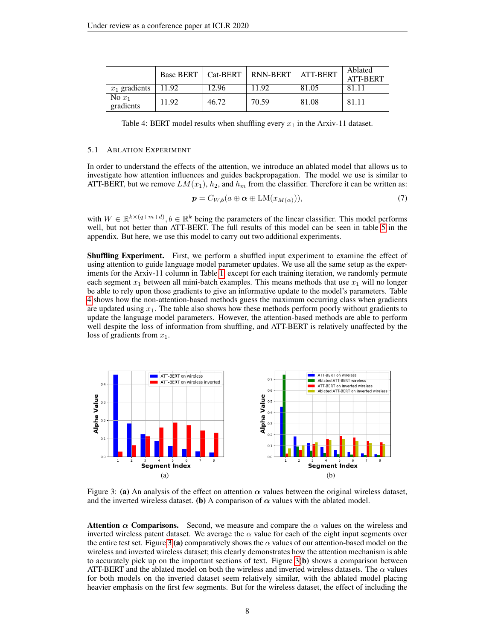<span id="page-7-0"></span>

|                       |       |       | Base BERT   Cat-BERT   RNN-BERT | <b>ATT-BERT</b> | Ablated<br><b>ATT-BERT</b> |
|-----------------------|-------|-------|---------------------------------|-----------------|----------------------------|
| $x_1$ gradients       | 11.92 | 12.96 | 11.92                           | 81.05           | 81.11                      |
| No $x_1$<br>gradients | 11.92 | 46.72 | 70.59                           | 81.08           | 81.11                      |

Table 4: BERT model results when shuffling every  $x_1$  in the Arxiv-11 dataset.

#### 5.1 ABLATION EXPERIMENT

In order to understand the effects of the attention, we introduce an ablated model that allows us to investigate how attention influences and guides backpropagation. The model we use is similar to ATT-BERT, but we remove  $LM(x_1)$ ,  $h_2$ , and  $h_m$  from the classifier. Therefore it can be written as:

$$
\mathbf{p} = C_{W,b}(a \oplus \mathbf{\alpha} \oplus \text{LM}(x_{M(\alpha)})),\tag{7}
$$

with  $W \in \mathbb{R}^{k \times (q+m+d)}$ ,  $b \in \mathbb{R}^k$  being the parameters of the linear classifier. This model performs well, but not better than ATT-BERT. The full results of this model can be seen in table [5](#page-11-1) in the appendix. But here, we use this model to carry out two additional experiments.

Shuffling Experiment. First, we perform a shuffled input experiment to examine the effect of using attention to guide language model parameter updates. We use all the same setup as the experiments for the Arxiv-11 column in Table [1,](#page-5-0) except for each training iteration, we randomly permute each segment  $x_1$  between all mini-batch examples. This means methods that use  $x_1$  will no longer be able to rely upon those gradients to give an informative update to the model's parameters. Table [4](#page-7-0) shows how the non-attention-based methods guess the maximum occurring class when gradients are updated using  $x_1$ . The table also shows how these methods perform poorly without gradients to update the language model parameters. However, the attention-based methods are able to perform well despite the loss of information from shuffling, and ATT-BERT is relatively unaffected by the loss of gradients from  $x_1$ .

<span id="page-7-1"></span>

Figure 3: (a) An analysis of the effect on attention  $\alpha$  values between the original wireless dataset, and the inverted wireless dataset. (b) A comparison of  $\alpha$  values with the ablated model.

Attention  $\alpha$  Comparisons. Second, we measure and compare the  $\alpha$  values on the wireless and inverted wireless patent dataset. We average the  $\alpha$  value for each of the eight input segments over the entire test set. Figure [3](#page-7-1) (a) comparatively shows the  $\alpha$  values of our attention-based model on the wireless and inverted wireless dataset; this clearly demonstrates how the attention mechanism is able to accurately pick up on the important sections of text. Figure  $3(b)$  shows a comparison between ATT-BERT and the ablated model on both the wireless and inverted wireless datasets. The  $\alpha$  values for both models on the inverted dataset seem relatively similar, with the ablated model placing heavier emphasis on the first few segments. But for the wireless dataset, the effect of including the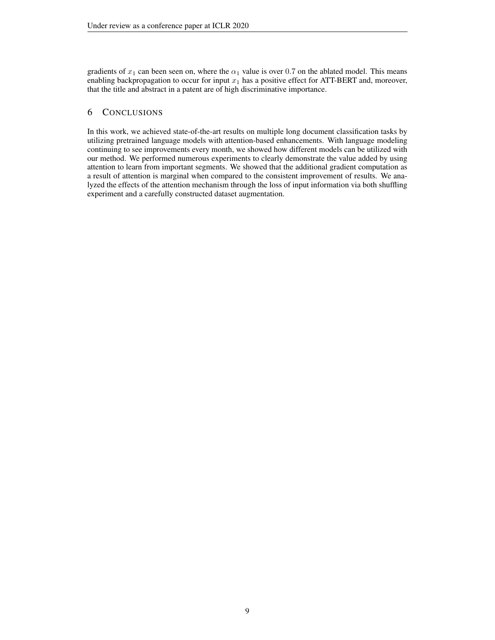gradients of  $x_1$  can been seen on, where the  $\alpha_1$  value is over 0.7 on the ablated model. This means enabling backpropagation to occur for input  $x_1$  has a positive effect for ATT-BERT and, moreover, that the title and abstract in a patent are of high discriminative importance.

# 6 CONCLUSIONS

In this work, we achieved state-of-the-art results on multiple long document classification tasks by utilizing pretrained language models with attention-based enhancements. With language modeling continuing to see improvements every month, we showed how different models can be utilized with our method. We performed numerous experiments to clearly demonstrate the value added by using attention to learn from important segments. We showed that the additional gradient computation as a result of attention is marginal when compared to the consistent improvement of results. We analyzed the effects of the attention mechanism through the loss of input information via both shuffling experiment and a carefully constructed dataset augmentation.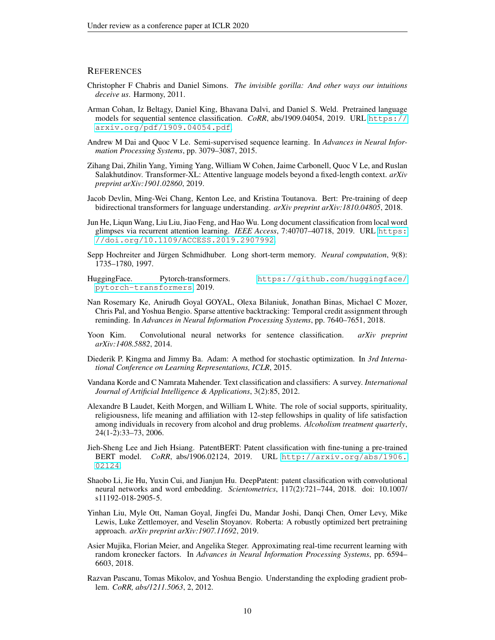## **REFERENCES**

- <span id="page-9-7"></span>Christopher F Chabris and Daniel Simons. *The invisible gorilla: And other ways our intuitions deceive us*. Harmony, 2011.
- <span id="page-9-14"></span>Arman Cohan, Iz Beltagy, Daniel King, Bhavana Dalvi, and Daniel S. Weld. Pretrained language models for sequential sentence classification. *CoRR*, abs/1909.04054, 2019. URL [https://](https://arxiv.org/pdf/1909.04054.pdf) [arxiv.org/pdf/1909.04054.pdf](https://arxiv.org/pdf/1909.04054.pdf).
- <span id="page-9-10"></span>Andrew M Dai and Quoc V Le. Semi-supervised sequence learning. In *Advances in Neural Information Processing Systems*, pp. 3079–3087, 2015.
- <span id="page-9-1"></span>Zihang Dai, Zhilin Yang, Yiming Yang, William W Cohen, Jaime Carbonell, Quoc V Le, and Ruslan Salakhutdinov. Transformer-XL: Attentive language models beyond a fixed-length context. *arXiv preprint arXiv:1901.02860*, 2019.
- <span id="page-9-0"></span>Jacob Devlin, Ming-Wei Chang, Kenton Lee, and Kristina Toutanova. Bert: Pre-training of deep bidirectional transformers for language understanding. *arXiv preprint arXiv:1810.04805*, 2018.
- <span id="page-9-13"></span>Jun He, Liqun Wang, Liu Liu, Jiao Feng, and Hao Wu. Long document classification from local word glimpses via recurrent attention learning. *IEEE Access*, 7:40707–40718, 2019. URL [https:](https://doi.org/10.1109/ACCESS.2019.2907992) [//doi.org/10.1109/ACCESS.2019.2907992](https://doi.org/10.1109/ACCESS.2019.2907992).
- <span id="page-9-15"></span>Sepp Hochreiter and Jürgen Schmidhuber. Long short-term memory. *Neural computation*, 9(8): 1735–1780, 1997.
- <span id="page-9-16"></span>HuggingFace. Pytorch-transformers. [https://github.com/huggingface/](https://github.com/huggingface/pytorch-transformers) [pytorch-transformers](https://github.com/huggingface/pytorch-transformers), 2019.
- <span id="page-9-9"></span>Nan Rosemary Ke, Anirudh Goyal GOYAL, Olexa Bilaniuk, Jonathan Binas, Michael C Mozer, Chris Pal, and Yoshua Bengio. Sparse attentive backtracking: Temporal credit assignment through reminding. In *Advances in Neural Information Processing Systems*, pp. 7640–7651, 2018.
- <span id="page-9-11"></span>Yoon Kim. Convolutional neural networks for sentence classification. *arXiv preprint arXiv:1408.5882*, 2014.
- <span id="page-9-17"></span>Diederik P. Kingma and Jimmy Ba. Adam: A method for stochastic optimization. In *3rd International Conference on Learning Representations, ICLR*, 2015.
- <span id="page-9-3"></span>Vandana Korde and C Namrata Mahender. Text classification and classifiers: A survey. *International Journal of Artificial Intelligence & Applications*, 3(2):85, 2012.
- <span id="page-9-8"></span>Alexandre B Laudet, Keith Morgen, and William L White. The role of social supports, spirituality, religiousness, life meaning and affiliation with 12-step fellowships in quality of life satisfaction among individuals in recovery from alcohol and drug problems. *Alcoholism treatment quarterly*, 24(1-2):33–73, 2006.
- <span id="page-9-4"></span>Jieh-Sheng Lee and Jieh Hsiang. PatentBERT: Patent classification with fine-tuning a pre-trained BERT model. *CoRR*, abs/1906.02124, 2019. URL [http://arxiv.org/abs/1906.](http://arxiv.org/abs/1906.02124) [02124](http://arxiv.org/abs/1906.02124).
- <span id="page-9-12"></span>Shaobo Li, Jie Hu, Yuxin Cui, and Jianjun Hu. DeepPatent: patent classification with convolutional neural networks and word embedding. *Scientometrics*, 117(2):721–744, 2018. doi: 10.1007/ s11192-018-2905-5.
- <span id="page-9-2"></span>Yinhan Liu, Myle Ott, Naman Goyal, Jingfei Du, Mandar Joshi, Danqi Chen, Omer Levy, Mike Lewis, Luke Zettlemoyer, and Veselin Stoyanov. Roberta: A robustly optimized bert pretraining approach. *arXiv preprint arXiv:1907.11692*, 2019.
- <span id="page-9-6"></span>Asier Mujika, Florian Meier, and Angelika Steger. Approximating real-time recurrent learning with random kronecker factors. In *Advances in Neural Information Processing Systems*, pp. 6594– 6603, 2018.
- <span id="page-9-5"></span>Razvan Pascanu, Tomas Mikolov, and Yoshua Bengio. Understanding the exploding gradient problem. *CoRR, abs/1211.5063*, 2, 2012.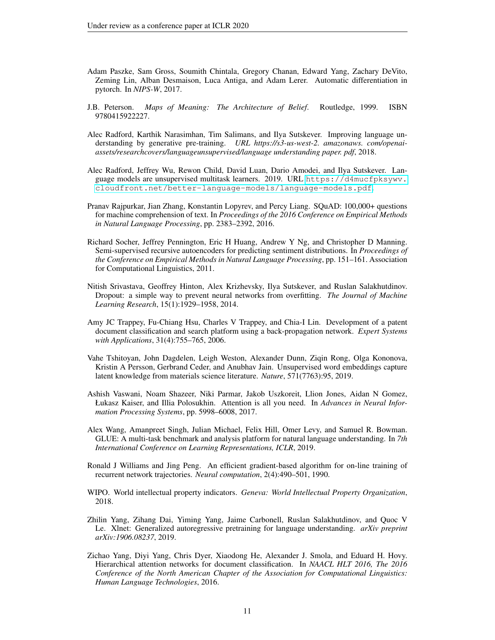- <span id="page-10-13"></span>Adam Paszke, Sam Gross, Soumith Chintala, Gregory Chanan, Edward Yang, Zachary DeVito, Zeming Lin, Alban Desmaison, Luca Antiga, and Adam Lerer. Automatic differentiation in pytorch. In *NIPS-W*, 2017.
- <span id="page-10-6"></span>J.B. Peterson. *Maps of Meaning: The Architecture of Belief*. Routledge, 1999. ISBN 9780415922227.
- <span id="page-10-10"></span>Alec Radford, Karthik Narasimhan, Tim Salimans, and Ilya Sutskever. Improving language understanding by generative pre-training. *URL https://s3-us-west-2. amazonaws. com/openaiassets/researchcovers/languageunsupervised/language understanding paper. pdf*, 2018.
- <span id="page-10-0"></span>Alec Radford, Jeffrey Wu, Rewon Child, David Luan, Dario Amodei, and Ilya Sutskever. Language models are unsupervised multitask learners. 2019. URL [https://d4mucfpksywv.](https://d4mucfpksywv.cloudfront.net/better-language-models/language-models.pdf) [cloudfront.net/better-language-models/language-models.pdf](https://d4mucfpksywv.cloudfront.net/better-language-models/language-models.pdf).
- <span id="page-10-11"></span>Pranav Rajpurkar, Jian Zhang, Konstantin Lopyrev, and Percy Liang. SQuAD: 100,000+ questions for machine comprehension of text. In *Proceedings of the 2016 Conference on Empirical Methods in Natural Language Processing*, pp. 2383–2392, 2016.
- <span id="page-10-4"></span>Richard Socher, Jeffrey Pennington, Eric H Huang, Andrew Y Ng, and Christopher D Manning. Semi-supervised recursive autoencoders for predicting sentiment distributions. In *Proceedings of the Conference on Empirical Methods in Natural Language Processing*, pp. 151–161. Association for Computational Linguistics, 2011.
- <span id="page-10-14"></span>Nitish Srivastava, Geoffrey Hinton, Alex Krizhevsky, Ilya Sutskever, and Ruslan Salakhutdinov. Dropout: a simple way to prevent neural networks from overfitting. *The Journal of Machine Learning Research*, 15(1):1929–1958, 2014.
- <span id="page-10-8"></span>Amy JC Trappey, Fu-Chiang Hsu, Charles V Trappey, and Chia-I Lin. Development of a patent document classification and search platform using a back-propagation network. *Expert Systems with Applications*, 31(4):755–765, 2006.
- <span id="page-10-9"></span>Vahe Tshitoyan, John Dagdelen, Leigh Weston, Alexander Dunn, Ziqin Rong, Olga Kononova, Kristin A Persson, Gerbrand Ceder, and Anubhav Jain. Unsupervised word embeddings capture latent knowledge from materials science literature. *Nature*, 571(7763):95, 2019.
- <span id="page-10-2"></span>Ashish Vaswani, Noam Shazeer, Niki Parmar, Jakob Uszkoreit, Llion Jones, Aidan N Gomez, Łukasz Kaiser, and Illia Polosukhin. Attention is all you need. In *Advances in Neural Information Processing Systems*, pp. 5998–6008, 2017.
- <span id="page-10-3"></span>Alex Wang, Amanpreet Singh, Julian Michael, Felix Hill, Omer Levy, and Samuel R. Bowman. GLUE: A multi-task benchmark and analysis platform for natural language understanding. In *7th International Conference on Learning Representations, ICLR*, 2019.
- <span id="page-10-5"></span>Ronald J Williams and Jing Peng. An efficient gradient-based algorithm for on-line training of recurrent network trajectories. *Neural computation*, 2(4):490–501, 1990.
- <span id="page-10-7"></span>WIPO. World intellectual property indicators. *Geneva: World Intellectual Property Organization*, 2018.
- <span id="page-10-1"></span>Zhilin Yang, Zihang Dai, Yiming Yang, Jaime Carbonell, Ruslan Salakhutdinov, and Quoc V Le. Xlnet: Generalized autoregressive pretraining for language understanding. *arXiv preprint arXiv:1906.08237*, 2019.
- <span id="page-10-12"></span>Zichao Yang, Diyi Yang, Chris Dyer, Xiaodong He, Alexander J. Smola, and Eduard H. Hovy. Hierarchical attention networks for document classification. In *NAACL HLT 2016, The 2016 Conference of the North American Chapter of the Association for Computational Linguistics: Human Language Technologies*, 2016.